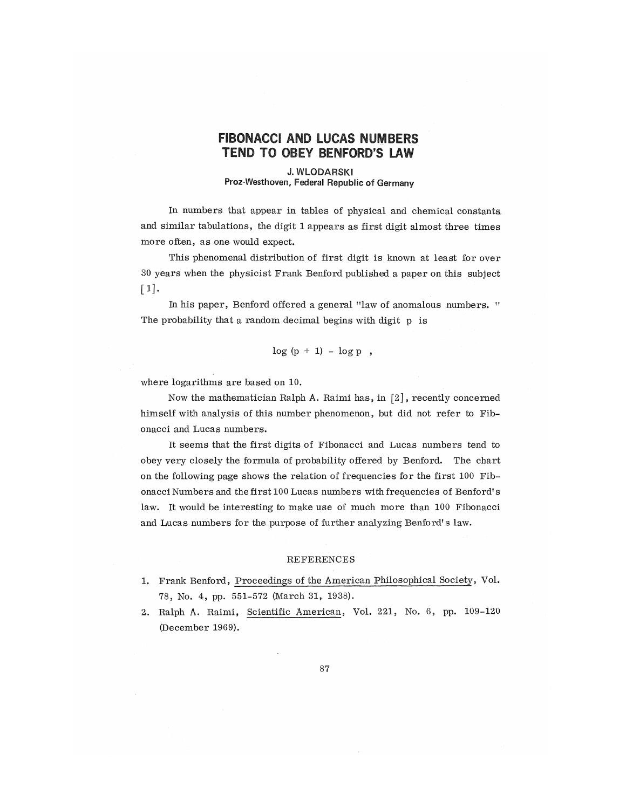## FIBONACCI AND LUCAS NUMBERS TEND TO OBEY BENFORD'S LAW

## J. WLODARSKl Proz-Westhoven, Federal Republic of Germany

In numbers that appear in tables of physical and chemical constants. and similar tabulations, the digit 1 appears as first digit almost three times more often, as one would expect,

This phenomenal distribution of first digit is known at least for over 30 years when the physicist Frank Benford published a paper on this subject  $\lceil 1 \rceil$ .

In his paper, Benford offered a general "law of anomalous numbers. " The probability that a random decimal begins with digit p is

 $log (p + 1) - log p$ ,

where logarithms are based on 10.

Now the mathematician Ralph A. Raimi has, in [2], recently concerned himself with analysis of this number phenomenon, but did not refer to Fibonacci and Lucas numbers.

It seems that the first digits of Fibonacci and Lucas numbers tend to obey very closely the formula of probability offered by Benford. The chart on the following page shows the relation of frequencies for the first 100 Fibonacci Numbers and the first 100 Lucas numbers with frequencies of Benford's law. It would be interesting to make use of much more than 100 Fibonacci and Lucas numbers for the purpose of further analyzing Benford's law.

## REFERENCES

- 1. Frank Benford, Proceedings of the American Philosophical Society, Vol. 78, No. 4, pp. 551-572 (March 31, 1938).
- 2. Ralph A. Raimi, Scientific American, Vol. 221, No. 6, pp. 109-120 (December 1969).